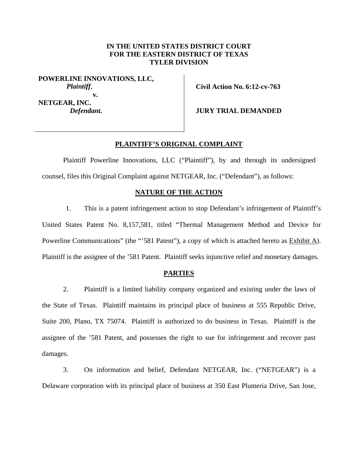# **IN THE UNITED STATES DISTRICT COURT FOR THE EASTERN DISTRICT OF TEXAS TYLER DIVISION**

**POWERLINE INNOVATIONS, LLC,** *Plaintiff*, **v. NETGEAR, INC.**  *Defendant***.** 

**Civil Action No. 6:12-cv-763** 

**JURY TRIAL DEMANDED** 

### **PLAINTIFF'S ORIGINAL COMPLAINT**

 Plaintiff Powerline Innovations, LLC ("Plaintiff"), by and through its undersigned counsel, files this Original Complaint against NETGEAR, Inc. ("Defendant"), as follows:

## **NATURE OF THE ACTION**

1. This is a patent infringement action to stop Defendant's infringement of Plaintiff's United States Patent No. 8,157,581, titled "Thermal Management Method and Device for Powerline Communications" (the "581 Patent"), a copy of which is attached hereto as **Exhibit A**). Plaintiff is the assignee of the '581 Patent. Plaintiff seeks injunctive relief and monetary damages.

## **PARTIES**

2. Plaintiff is a limited liability company organized and existing under the laws of the State of Texas. Plaintiff maintains its principal place of business at 555 Republic Drive, Suite 200, Plano, TX 75074. Plaintiff is authorized to do business in Texas. Plaintiff is the assignee of the '581 Patent, and possesses the right to sue for infringement and recover past damages.

3. On information and belief, Defendant NETGEAR, Inc. ("NETGEAR") is a Delaware corporation with its principal place of business at 350 East Plumeria Drive, San Jose,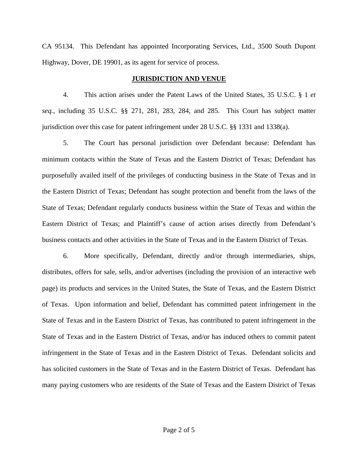CA 95134. This Defendant has appointed Incorporating Services, Ltd., 3500 South Dupont Highway, Dover, DE 19901, as its agent for service of process.

## **JURISDICTION AND VENUE**

4. This action arises under the Patent Laws of the United States, 35 U.S.C. § 1 *et seq.*, including 35 U.S.C. §§ 271, 281, 283, 284, and 285. This Court has subject matter jurisdiction over this case for patent infringement under 28 U.S.C. §§ 1331 and 1338(a).

5. The Court has personal jurisdiction over Defendant because: Defendant has minimum contacts within the State of Texas and the Eastern District of Texas; Defendant has purposefully availed itself of the privileges of conducting business in the State of Texas and in the Eastern District of Texas; Defendant has sought protection and benefit from the laws of the State of Texas; Defendant regularly conducts business within the State of Texas and within the Eastern District of Texas; and Plaintiff's cause of action arises directly from Defendant's business contacts and other activities in the State of Texas and in the Eastern District of Texas.

6. More specifically, Defendant, directly and/or through intermediaries, ships, distributes, offers for sale, sells, and/or advertises (including the provision of an interactive web page) its products and services in the United States, the State of Texas, and the Eastern District of Texas. Upon information and belief, Defendant has committed patent infringement in the State of Texas and in the Eastern District of Texas, has contributed to patent infringement in the State of Texas and in the Eastern District of Texas, and/or has induced others to commit patent infringement in the State of Texas and in the Eastern District of Texas. Defendant solicits and has solicited customers in the State of Texas and in the Eastern District of Texas. Defendant has many paying customers who are residents of the State of Texas and the Eastern District of Texas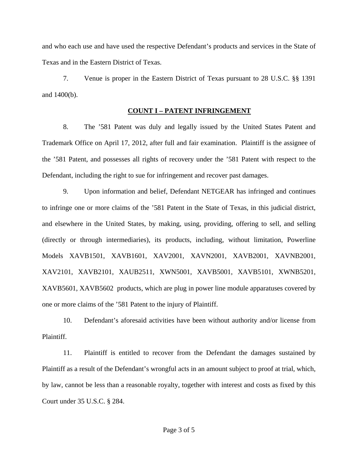and who each use and have used the respective Defendant's products and services in the State of Texas and in the Eastern District of Texas.

7. Venue is proper in the Eastern District of Texas pursuant to 28 U.S.C. §§ 1391 and 1400(b).

## **COUNT I – PATENT INFRINGEMENT**

8. The '581 Patent was duly and legally issued by the United States Patent and Trademark Office on April 17, 2012, after full and fair examination. Plaintiff is the assignee of the '581 Patent, and possesses all rights of recovery under the '581 Patent with respect to the Defendant, including the right to sue for infringement and recover past damages.

9. Upon information and belief, Defendant NETGEAR has infringed and continues to infringe one or more claims of the '581 Patent in the State of Texas, in this judicial district, and elsewhere in the United States, by making, using, providing, offering to sell, and selling (directly or through intermediaries), its products, including, without limitation, Powerline Models XAVB1501, XAVB1601, XAV2001, XAVN2001, XAVB2001, XAVNB2001, XAV2101, XAVB2101, XAUB2511, XWN5001, XAVB5001, XAVB5101, XWNB5201, XAVB5601, XAVB5602 products, which are plug in power line module apparatuses covered by one or more claims of the '581 Patent to the injury of Plaintiff.

10. Defendant's aforesaid activities have been without authority and/or license from Plaintiff.

11. Plaintiff is entitled to recover from the Defendant the damages sustained by Plaintiff as a result of the Defendant's wrongful acts in an amount subject to proof at trial, which, by law, cannot be less than a reasonable royalty, together with interest and costs as fixed by this Court under 35 U.S.C. § 284.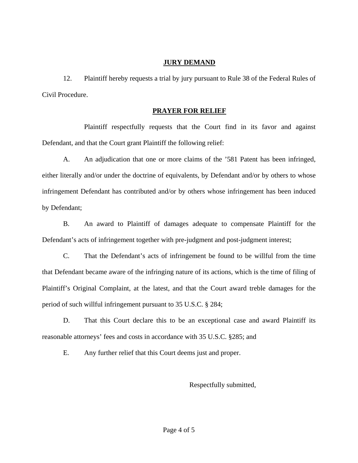# **JURY DEMAND**

12. Plaintiff hereby requests a trial by jury pursuant to Rule 38 of the Federal Rules of Civil Procedure.

# **PRAYER FOR RELIEF**

 Plaintiff respectfully requests that the Court find in its favor and against Defendant, and that the Court grant Plaintiff the following relief:

A. An adjudication that one or more claims of the '581 Patent has been infringed, either literally and/or under the doctrine of equivalents, by Defendant and/or by others to whose infringement Defendant has contributed and/or by others whose infringement has been induced by Defendant;

B. An award to Plaintiff of damages adequate to compensate Plaintiff for the Defendant's acts of infringement together with pre-judgment and post-judgment interest;

C. That the Defendant's acts of infringement be found to be willful from the time that Defendant became aware of the infringing nature of its actions, which is the time of filing of Plaintiff's Original Complaint, at the latest, and that the Court award treble damages for the period of such willful infringement pursuant to 35 U.S.C. § 284;

D. That this Court declare this to be an exceptional case and award Plaintiff its reasonable attorneys' fees and costs in accordance with 35 U.S.C. §285; and

E. Any further relief that this Court deems just and proper.

Respectfully submitted,